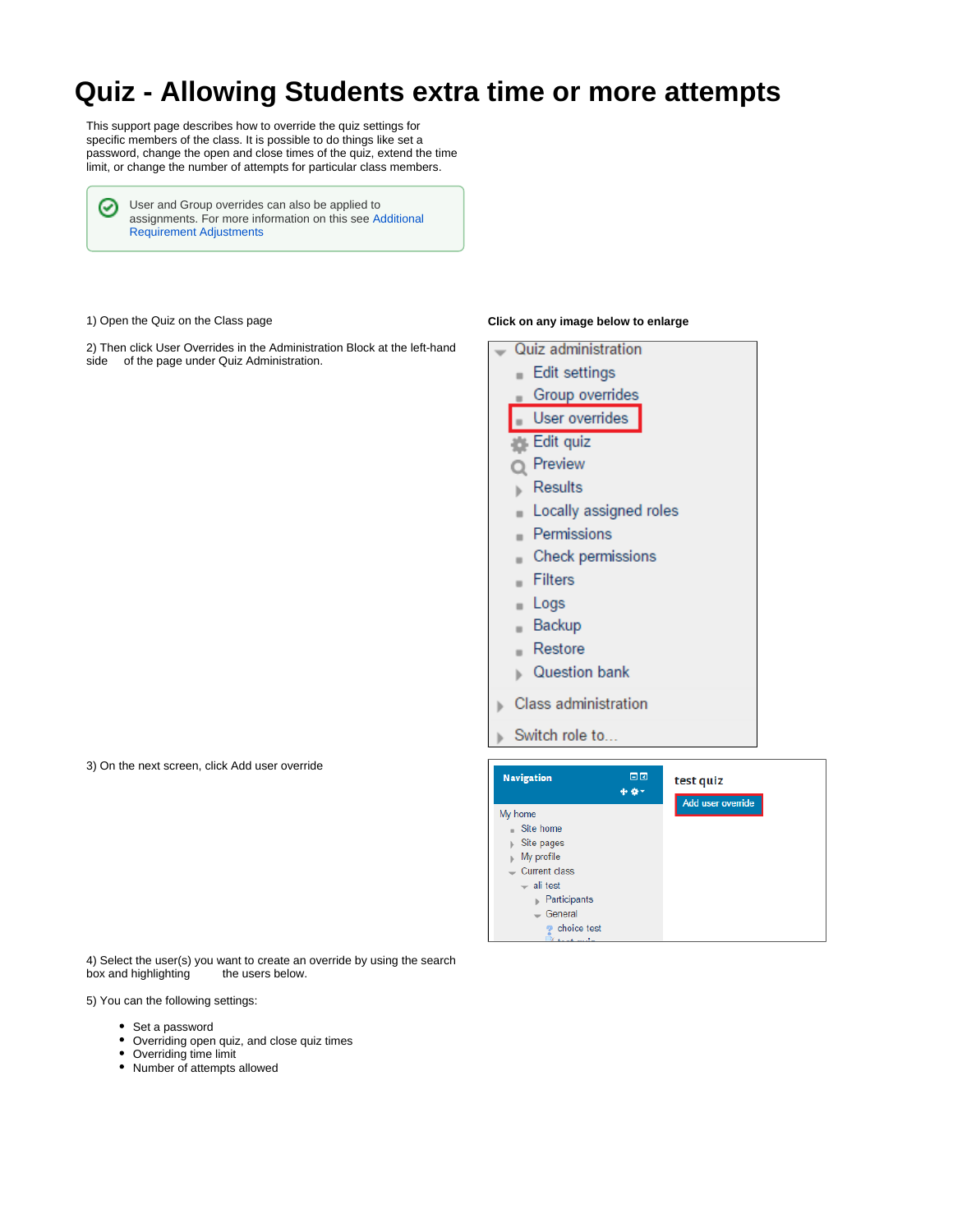## **Quiz - Allowing Students extra time or more attempts**

This support page describes how to override the quiz settings for specific members of the class. It is possible to do things like set a password, change the open and close times of the quiz, extend the time limit, or change the number of attempts for particular class members.

User and Group overrides can also be applied to ☑ assignments. For more information on this see [Additional](https://wiki.lte.strath.ac.uk/display/MS/Additional+Requirement+Adjustments)  [Requirement Adjustments](https://wiki.lte.strath.ac.uk/display/MS/Additional+Requirement+Adjustments)

1) Open the Quiz on the Class page

2) Then click User Overrides in the Administration Block at the left-hand side of the page under Quiz Administration.

## **Click on any image below to enlarge**

Quiz administration Edit settings **Group overrides** User overrides Edit quiz 盎  $Q$  Preview Results  $\,$ Locally assigned roles  $\blacksquare$ Permissions  $\blacksquare$ Check permissions  $\blacksquare$ Filters  $\blacksquare$ Logs  $\blacksquare$ Backup  $\blacksquare$ Restore × **Question bank** Class administration Ъ Switch role to...



3) On the next screen, click Add user override

4) Select the user(s) you want to create an override by using the search box and highlighting

5) You can the following settings:

- Set a password
- Overriding open quiz, and close quiz times
- Overriding time limit
- Number of attempts allowed

の